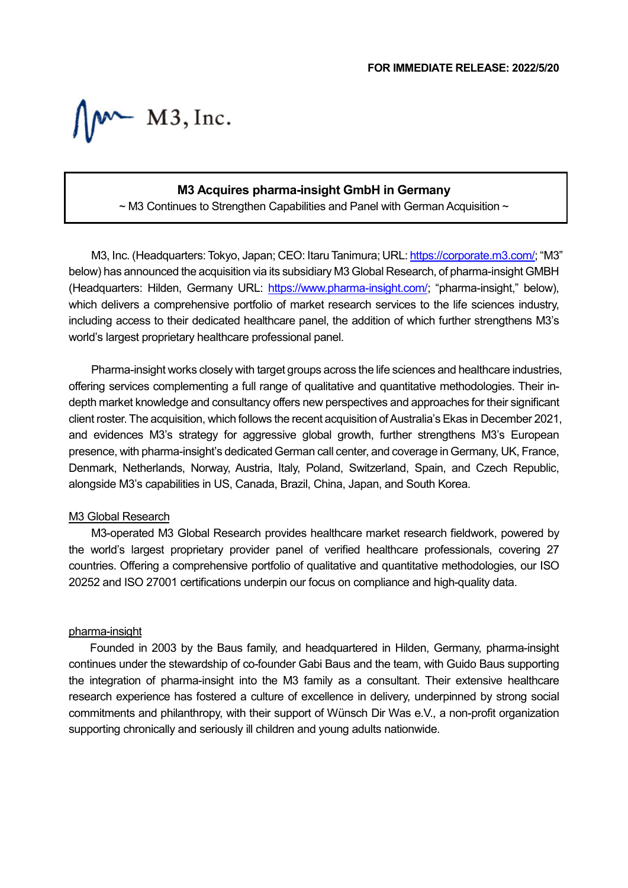$M$   $M3$ , Inc.

# **M3 Acquires pharma-insight GmbH in Germany**

 $\sim$  M3 Continues to Strengthen Capabilities and Panel with German Acquisition  $\sim$ 

M3, Inc. (Headquarters: Tokyo, Japan; CEO: Itaru Tanimura; URL[: https://corporate.m3.com/;](https://corporate.m3.com/) "M3" below) has announced the acquisition via its subsidiary M3 Global Research, of pharma-insight GMBH (Headquarters: Hilden, Germany URL: [https://www.pharma-insight.com/;](https://www.pharma-insight.com/) "pharma-insight," below), which delivers a comprehensive portfolio of market research services to the life sciences industry, including access to their dedicated healthcare panel, the addition of which further strengthens M3's world's largest proprietary healthcare professional panel.

Pharma-insight works closely with target groups across the life sciences and healthcare industries, offering services complementing a full range of qualitative and quantitative methodologies. Their indepth market knowledge and consultancy offers new perspectives and approaches for their significant client roster. The acquisition, which follows the recent acquisition of Australia's Ekas in December 2021, and evidences M3's strategy for aggressive global growth, further strengthens M3's European presence, with pharma-insight's dedicated German call center, and coverage in Germany, UK, France, Denmark, Netherlands, Norway, Austria, Italy, Poland, Switzerland, Spain, and Czech Republic, alongside M3's capabilities in US, Canada, Brazil, China, Japan, and South Korea.

#### M3 Global Research

M3-operated M3 Global Research provides healthcare market research fieldwork, powered by the world's largest proprietary provider panel of verified healthcare professionals, covering 27 countries. Offering a comprehensive portfolio of qualitative and quantitative methodologies, our ISO 20252 and ISO 27001 certifications underpin our focus on compliance and high-quality data.

### pharma-insight

Founded in 2003 by the Baus family, and headquartered in Hilden, Germany, pharma-insight continues under the stewardship of co-founder Gabi Baus and the team, with Guido Baus supporting the integration of pharma-insight into the M3 family as a consultant. Their extensive healthcare research experience has fostered a culture of excellence in delivery, underpinned by strong social commitments and philanthropy, with their support of Wünsch Dir Was e.V., a non-profit organization supporting chronically and seriously ill children and young adults nationwide.